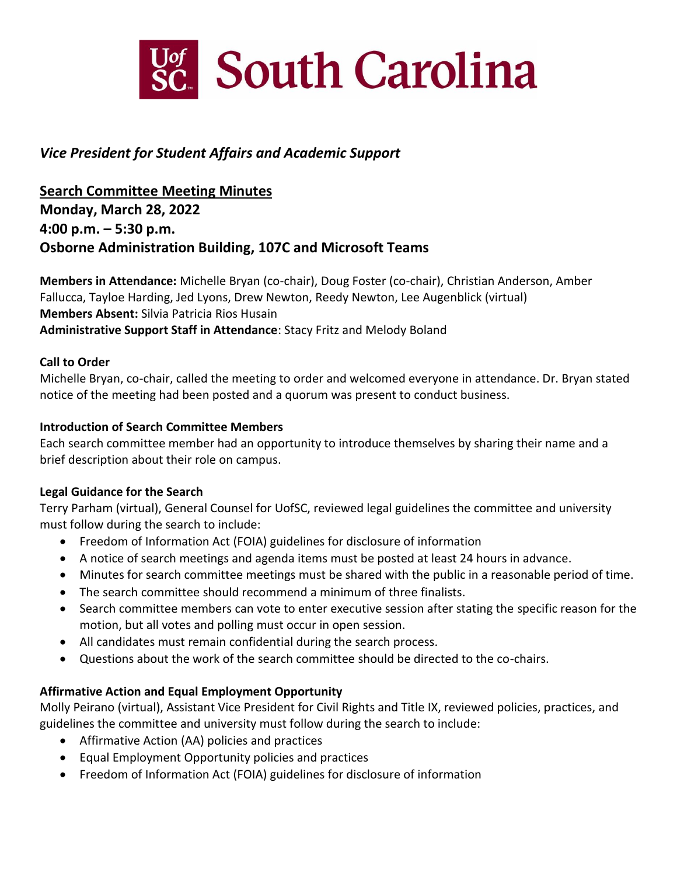

# *Vice President for Student Affairs and Academic Support*

 **4:00 p.m. – 5:30 p.m. Search Committee Meeting Minutes Monday, March 28, 2022 Osborne Administration Building, 107C and Microsoft Teams** 

 **Members in Attendance:** Michelle Bryan (co-chair), Doug Foster (co-chair), Christian Anderson, Amber Fallucca, Tayloe Harding, Jed Lyons, Drew Newton, Reedy Newton, Lee Augenblick (virtual)  **Administrative Support Staff in Attendance**: Stacy Fritz and Melody Boland **Members Absent:** Silvia Patricia Rios Husain

# **Call to Order**

 Michelle Bryan, co-chair, called the meeting to order and welcomed everyone in attendance. Dr. Bryan stated notice of the meeting had been posted and a quorum was present to conduct business.

# **Introduction of Search Committee Members**

 Each search committee member had an opportunity to introduce themselves by sharing their name and a brief description about their role on campus.

# **Legal Guidance for the Search**

 Terry Parham (virtual), General Counsel for UofSC, reviewed legal guidelines the committee and university must follow during the search to include:

- Freedom of Information Act (FOIA) guidelines for disclosure of information
- A notice of search meetings and agenda items must be posted at least 24 hours in advance.
- Minutes for search committee meetings must be shared with the public in a reasonable period of time.
- The search committee should recommend a minimum of three finalists.
- • Search committee members can vote to enter executive session after stating the specific reason for the motion, but all votes and polling must occur in open session.
- All candidates must remain confidential during the search process.
- Questions about the work of the search committee should be directed to the co-chairs.

# **Affirmative Action and Equal Employment Opportunity**

 Molly Peirano (virtual), Assistant Vice President for Civil Rights and Title IX, reviewed policies, practices, and guidelines the committee and university must follow during the search to include:

- Affirmative Action (AA) policies and practices
- Equal Employment Opportunity policies and practices
- Freedom of Information Act (FOIA) guidelines for disclosure of information